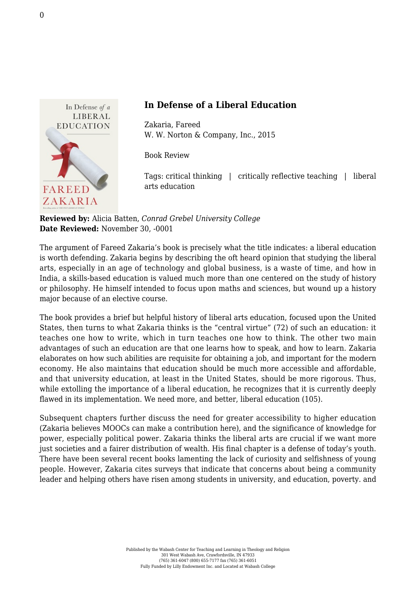

## **In Defense of a Liberal Education**

Zakaria, Fareed [W. W. Norton & Company, Inc., 2015](http://books.wwnorton.com/books/detail.aspx?id=4294988361)

Book Review

Tags: critical thinking | critically reflective teaching | liberal arts education

**Reviewed by:** Alicia Batten, *Conrad Grebel University College* **Date Reviewed:** November 30, -0001

The argument of Fareed Zakaria's book is precisely what the title indicates: a liberal education is worth defending. Zakaria begins by describing the oft heard opinion that studying the liberal arts, especially in an age of technology and global business, is a waste of time, and how in India, a skills-based education is valued much more than one centered on the study of history or philosophy. He himself intended to focus upon maths and sciences, but wound up a history major because of an elective course.

The book provides a brief but helpful history of liberal arts education, focused upon the United States, then turns to what Zakaria thinks is the "central virtue" (72) of such an education: it teaches one how to write, which in turn teaches one how to think. The other two main advantages of such an education are that one learns how to speak, and how to learn. Zakaria elaborates on how such abilities are requisite for obtaining a job, and important for the modern economy. He also maintains that education should be much more accessible and affordable, and that university education, at least in the United States, should be more rigorous. Thus, while extolling the importance of a liberal education, he recognizes that it is currently deeply flawed in its implementation. We need more, and better, liberal education (105).

Subsequent chapters further discuss the need for greater accessibility to higher education (Zakaria believes MOOCs can make a contribution here), and the significance of knowledge for power, especially political power. Zakaria thinks the liberal arts are crucial if we want more just societies and a fairer distribution of wealth. His final chapter is a defense of today's youth. There have been several recent books lamenting the lack of curiosity and selfishness of young people. However, Zakaria cites surveys that indicate that concerns about being a community leader and helping others have risen among students in university, and education, poverty. and